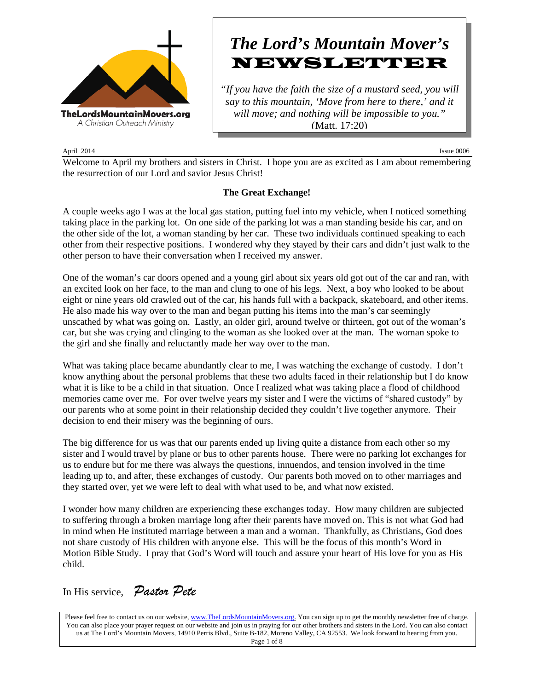

# *The Lord's Mountain Mover's* NEWSLETTER

*"If you have the faith the size of a mustard seed, you will say to this mountain, 'Move from here to there,' and it will move; and nothing will be impossible to you."* (Matt. 17:20)

April 2014 Issue 0006

Welcome to April my brothers and sisters in Christ. I hope you are as excited as I am about remembering the resurrection of our Lord and savior Jesus Christ!

# **The Great Exchange!**

A couple weeks ago I was at the local gas station, putting fuel into my vehicle, when I noticed something taking place in the parking lot. On one side of the parking lot was a man standing beside his car, and on the other side of the lot, a woman standing by her car. These two individuals continued speaking to each other from their respective positions. I wondered why they stayed by their cars and didn't just walk to the other person to have their conversation when I received my answer.

One of the woman's car doors opened and a young girl about six years old got out of the car and ran, with an excited look on her face, to the man and clung to one of his legs. Next, a boy who looked to be about eight or nine years old crawled out of the car, his hands full with a backpack, skateboard, and other items. He also made his way over to the man and began putting his items into the man's car seemingly unscathed by what was going on. Lastly, an older girl, around twelve or thirteen, got out of the woman's car, but she was crying and clinging to the woman as she looked over at the man. The woman spoke to the girl and she finally and reluctantly made her way over to the man.

What was taking place became abundantly clear to me, I was watching the exchange of custody. I don't know anything about the personal problems that these two adults faced in their relationship but I do know what it is like to be a child in that situation. Once I realized what was taking place a flood of childhood memories came over me. For over twelve years my sister and I were the victims of "shared custody" by our parents who at some point in their relationship decided they couldn't live together anymore. Their decision to end their misery was the beginning of ours.

The big difference for us was that our parents ended up living quite a distance from each other so my sister and I would travel by plane or bus to other parents house. There were no parking lot exchanges for us to endure but for me there was always the questions, innuendos, and tension involved in the time leading up to, and after, these exchanges of custody. Our parents both moved on to other marriages and they started over, yet we were left to deal with what used to be, and what now existed.

I wonder how many children are experiencing these exchanges today. How many children are subjected to suffering through a broken marriage long after their parents have moved on. This is not what God had in mind when He instituted marriage between a man and a woman. Thankfully, as Christians, God does not share custody of His children with anyone else. This will be the focus of this month's Word in Motion Bible Study. I pray that God's Word will touch and assure your heart of His love for you as His child.

In His service, *Pastor Pete* 

Please feel free to contact us on our website, www.TheLordsMountainMovers.org. You can sign up to get the monthly newsletter free of charge. You can also place your prayer request on our website and join us in praying for our other brothers and sisters in the Lord. You can also contact us at The Lord's Mountain Movers, 14910 Perris Blvd., Suite B-182, Moreno Valley, CA 92553. We look forward to hearing from you. Page 1 of 8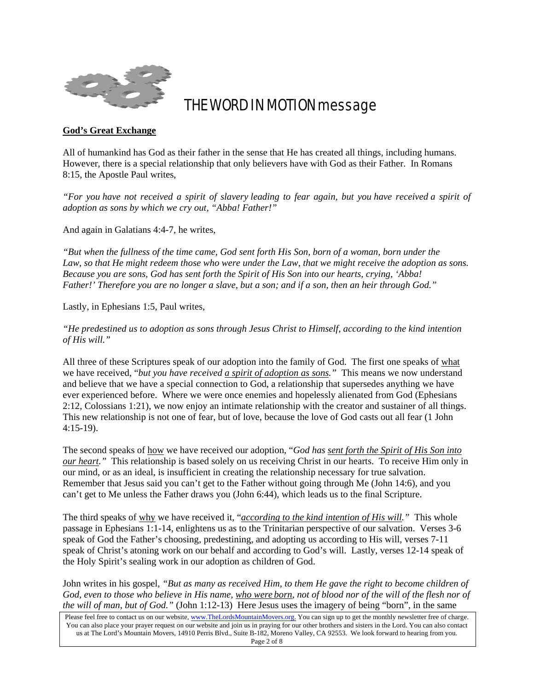

# THE WORD IN MOTION message

## **God's Great Exchange**

All of humankind has God as their father in the sense that He has created all things, including humans. However, there is a special relationship that only believers have with God as their Father. In Romans 8:15, the Apostle Paul writes,

*"For you have not received a spirit of slavery leading to fear again, but you have received a spirit of adoption as sons by which we cry out, "Abba! Father!"*

And again in Galatians 4:4-7, he writes,

*"But when the fullness of the time came, God sent forth His Son, born of a woman, born under the Law, so that He might redeem those who were under the Law, that we might receive the adoption as sons. Because you are sons, God has sent forth the Spirit of His Son into our hearts, crying, 'Abba! Father!' Therefore you are no longer a slave, but a son; and if a son, then an heir through God."*

Lastly, in Ephesians 1:5, Paul writes,

*"He predestined us to adoption as sons through Jesus Christ to Himself, according to the kind intention of His will."*

All three of these Scriptures speak of our adoption into the family of God. The first one speaks of what we have received, "*but you have received a spirit of adoption as sons."* This means we now understand and believe that we have a special connection to God, a relationship that supersedes anything we have ever experienced before. Where we were once enemies and hopelessly alienated from God (Ephesians 2:12, Colossians 1:21), we now enjoy an intimate relationship with the creator and sustainer of all things. This new relationship is not one of fear, but of love, because the love of God casts out all fear (1 John 4:15-19).

The second speaks of how we have received our adoption, "*God has sent forth the Spirit of His Son into our heart.*" This relationship is based solely on us receiving Christ in our hearts. To receive Him only in our mind, or as an ideal, is insufficient in creating the relationship necessary for true salvation. Remember that Jesus said you can't get to the Father without going through Me (John 14:6), and you can't get to Me unless the Father draws you (John 6:44), which leads us to the final Scripture.

The third speaks of why we have received it, "*according to the kind intention of His will."* This whole passage in Ephesians 1:1-14, enlightens us as to the Trinitarian perspective of our salvation. Verses 3-6 speak of God the Father's choosing, predestining, and adopting us according to His will, verses 7-11 speak of Christ's atoning work on our behalf and according to God's will. Lastly, verses 12-14 speak of the Holy Spirit's sealing work in our adoption as children of God.

John writes in his gospel, *"But as many as received Him, to them He gave the right to become children of God, even to those who believe in His name, who were born, not of blood nor of the will of the flesh nor of the will of man, but of God."* (John 1:12-13) Here Jesus uses the imagery of being "born", in the same

Please feel free to contact us on our website, www.TheLordsMountainMovers.org. You can sign up to get the monthly newsletter free of charge. You can also place your prayer request on our website and join us in praying for our other brothers and sisters in the Lord. You can also contact us at The Lord's Mountain Movers, 14910 Perris Blvd., Suite B-182, Moreno Valley, CA 92553. We look forward to hearing from you. Page 2 of 8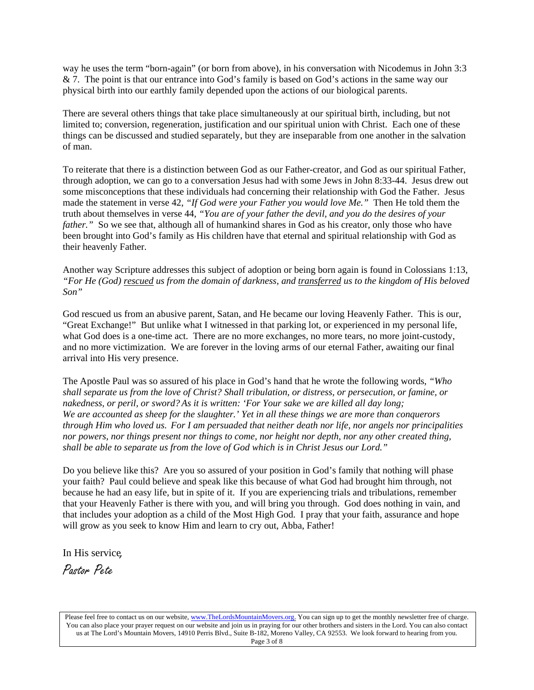way he uses the term "born-again" (or born from above), in his conversation with Nicodemus in John 3:3 & 7. The point is that our entrance into God's family is based on God's actions in the same way our physical birth into our earthly family depended upon the actions of our biological parents.

There are several others things that take place simultaneously at our spiritual birth, including, but not limited to; conversion, regeneration, justification and our spiritual union with Christ. Each one of these things can be discussed and studied separately, but they are inseparable from one another in the salvation of man.

To reiterate that there is a distinction between God as our Father-creator, and God as our spiritual Father, through adoption, we can go to a conversation Jesus had with some Jews in John 8:33-44. Jesus drew out some misconceptions that these individuals had concerning their relationship with God the Father. Jesus made the statement in verse 42, *"If God were your Father you would love Me."* Then He told them the truth about themselves in verse 44, *"You are of your father the devil, and you do the desires of your father.*" So we see that, although all of humankind shares in God as his creator, only those who have been brought into God's family as His children have that eternal and spiritual relationship with God as their heavenly Father.

Another way Scripture addresses this subject of adoption or being born again is found in Colossians 1:13, *"For He (God) rescued us from the domain of darkness, and transferred us to the kingdom of His beloved Son"*

God rescued us from an abusive parent, Satan, and He became our loving Heavenly Father. This is our, "Great Exchange!" But unlike what I witnessed in that parking lot, or experienced in my personal life, what God does is a one-time act. There are no more exchanges, no more tears, no more joint-custody, and no more victimization. We are forever in the loving arms of our eternal Father, awaiting our final arrival into His very presence.

The Apostle Paul was so assured of his place in God's hand that he wrote the following words, *"Who shall separate us from the love of Christ? Shall tribulation, or distress, or persecution, or famine, or nakedness, or peril, or sword? As it is written: 'For Your sake we are killed all day long; We are accounted as sheep for the slaughter.' Yet in all these things we are more than conquerors through Him who loved us. For I am persuaded that neither death nor life, nor angels nor principalities nor powers, nor things present nor things to come, nor height nor depth, nor any other created thing, shall be able to separate us from the love of God which is in Christ Jesus our Lord."*

Do you believe like this? Are you so assured of your position in God's family that nothing will phase your faith? Paul could believe and speak like this because of what God had brought him through, not because he had an easy life, but in spite of it. If you are experiencing trials and tribulations, remember that your Heavenly Father is there with you, and will bring you through. God does nothing in vain, and that includes your adoption as a child of the Most High God. I pray that your faith, assurance and hope will grow as you seek to know Him and learn to cry out, Abba, Father!

In His service,

Pastor Pete

Please feel free to contact us on our website, www.TheLordsMountainMovers.org. You can sign up to get the monthly newsletter free of charge. You can also place your prayer request on our website and join us in praying for our other brothers and sisters in the Lord. You can also contact us at The Lord's Mountain Movers, 14910 Perris Blvd., Suite B-182, Moreno Valley, CA 92553. We look forward to hearing from you. Page 3 of 8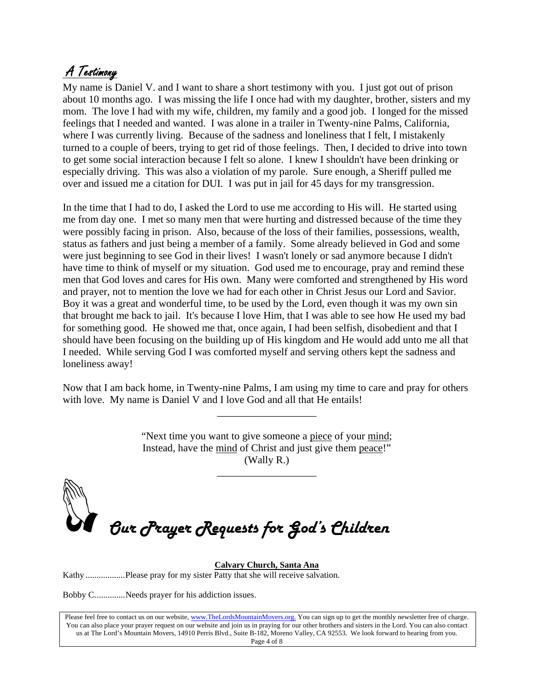# A Testimony

My name is Daniel V. and I want to share a short testimony with you. I just got out of prison about 10 months ago. I was missing the life I once had with my daughter, brother, sisters and my mom. The love I had with my wife, children, my family and a good job. I longed for the missed feelings that I needed and wanted. I was alone in a trailer in Twenty-nine Palms, California, where I was currently living. Because of the sadness and loneliness that I felt, I mistakenly turned to a couple of beers, trying to get rid of those feelings. Then, I decided to drive into town to get some social interaction because I felt so alone. I knew I shouldn't have been drinking or especially driving. This was also a violation of my parole. Sure enough, a Sheriff pulled me over and issued me a citation for DUI. I was put in jail for 45 days for my transgression.

In the time that I had to do, I asked the Lord to use me according to His will. He started using me from day one. I met so many men that were hurting and distressed because of the time they were possibly facing in prison. Also, because of the loss of their families, possessions, wealth, status as fathers and just being a member of a family. Some already believed in God and some were just beginning to see God in their lives! I wasn't lonely or sad anymore because I didn't have time to think of myself or my situation. God used me to encourage, pray and remind these men that God loves and cares for His own. Many were comforted and strengthened by His word and prayer, not to mention the love we had for each other in Christ Jesus our Lord and Savior. Boy it was a great and wonderful time, to be used by the Lord, even though it was my own sin that brought me back to jail. It's because I love Him, that I was able to see how He used my bad for something good. He showed me that, once again, I had been selfish, disobedient and that I should have been focusing on the building up of His kingdom and He would add unto me all that I needed. While serving God I was comforted myself and serving others kept the sadness and loneliness away!

Now that I am back home, in Twenty-nine Palms, I am using my time to care and pray for others with love. My name is Daniel V and I love God and all that He entails!

\_\_\_\_\_\_\_\_\_\_\_\_\_\_\_\_\_\_\_

"Next time you want to give someone a piece of your mind; Instead, have the mind of Christ and just give them peace!" (Wally R.)

\_\_\_\_\_\_\_\_\_\_\_\_\_\_\_\_\_\_\_

*Our Prayer Requests for God's Children* 

**Calvary Church, Santa Ana**

Kathy ..................Please pray for my sister Patty that she will receive salvation.

Bobby C..............Needs prayer for his addiction issues.

Please feel free to contact us on our website, www.TheLordsMountainMovers.org. You can sign up to get the monthly newsletter free of charge. You can also place your prayer request on our website and join us in praying for our other brothers and sisters in the Lord. You can also contact us at The Lord's Mountain Movers, 14910 Perris Blvd., Suite B-182, Moreno Valley, CA 92553. We look forward to hearing from you. Page 4 of 8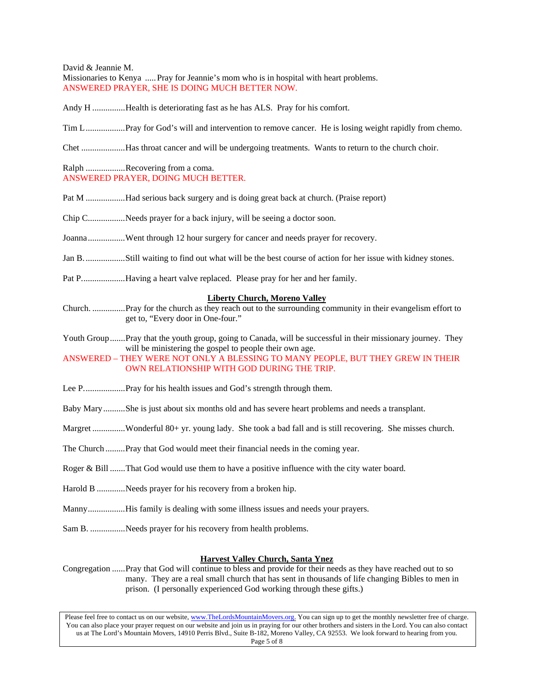David & Jeannie M. Missionaries to Kenya .....Pray for Jeannie's mom who is in hospital with heart problems. ANSWERED PRAYER, SHE IS DOING MUCH BETTER NOW.

Andy H ...............Health is deteriorating fast as he has ALS. Pray for his comfort.

Tim L..................Pray for God's will and intervention to remove cancer. He is losing weight rapidly from chemo.

Chet ....................Has throat cancer and will be undergoing treatments. Wants to return to the church choir.

Ralph ..................Recovering from a coma. ANSWERED PRAYER, DOING MUCH BETTER.

Pat M ..................Had serious back surgery and is doing great back at church. (Praise report)

Chip C.................Needs prayer for a back injury, will be seeing a doctor soon.

Joanna.................Went through 12 hour surgery for cancer and needs prayer for recovery.

Jan B...................Still waiting to find out what will be the best course of action for her issue with kidney stones.

Pat P....................Having a heart valve replaced. Please pray for her and her family.

#### **Liberty Church, Moreno Valley**

Church. ...............Pray for the church as they reach out to the surrounding community in their evangelism effort to get to, "Every door in One-four."

Youth Group.......Pray that the youth group, going to Canada, will be successful in their missionary journey. They will be ministering the gospel to people their own age.

ANSWERED – THEY WERE NOT ONLY A BLESSING TO MANY PEOPLE, BUT THEY GREW IN THEIR OWN RELATIONSHIP WITH GOD DURING THE TRIP.

- Lee P........................Pray for his health issues and God's strength through them.
- Baby Mary..........She is just about six months old and has severe heart problems and needs a transplant.

Margret ...............Wonderful 80+ yr. young lady. She took a bad fall and is still recovering. She misses church.

The Church .........Pray that God would meet their financial needs in the coming year.

Roger & Bill .......That God would use them to have a positive influence with the city water board.

Harold B .............Needs prayer for his recovery from a broken hip.

Manny.................His family is dealing with some illness issues and needs your prayers.

Sam B. ................Needs prayer for his recovery from health problems.

### **Harvest Valley Church, Santa Ynez**

Congregation ......Pray that God will continue to bless and provide for their needs as they have reached out to so many. They are a real small church that has sent in thousands of life changing Bibles to men in prison. (I personally experienced God working through these gifts.)

Please feel free to contact us on our website, www.TheLordsMountainMovers.org. You can sign up to get the monthly newsletter free of charge. You can also place your prayer request on our website and join us in praying for our other brothers and sisters in the Lord. You can also contact us at The Lord's Mountain Movers, 14910 Perris Blvd., Suite B-182, Moreno Valley, CA 92553. We look forward to hearing from you. Page 5 of 8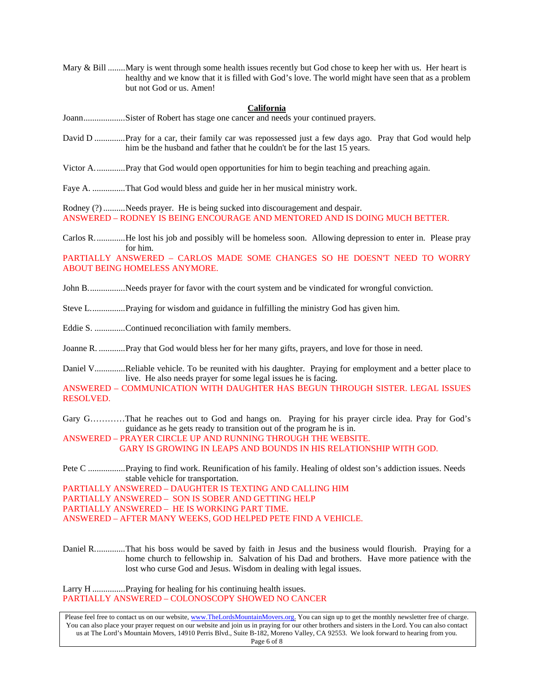Mary & Bill ........Mary is went through some health issues recently but God chose to keep her with us. Her heart is healthy and we know that it is filled with God's love. The world might have seen that as a problem but not God or us. Amen!

#### **California**

- Joann...................Sister of Robert has stage one cancer and needs your continued prayers.
- David D ..............Pray for a car, their family car was repossessed just a few days ago. Pray that God would help him be the husband and father that he couldn't be for the last 15 years.
- Victor A..............Pray that God would open opportunities for him to begin teaching and preaching again.

Faye A. ...............That God would bless and guide her in her musical ministry work.

Rodney (?) ..........Needs prayer. He is being sucked into discouragement and despair. ANSWERED – RODNEY IS BEING ENCOURAGE AND MENTORED AND IS DOING MUCH BETTER.

Carlos R..............He lost his job and possibly will be homeless soon. Allowing depression to enter in. Please pray for him.

PARTIALLY ANSWERED – CARLOS MADE SOME CHANGES SO HE DOESN'T NEED TO WORRY ABOUT BEING HOMELESS ANYMORE.

- John B..................Needs prayer for favor with the court system and be vindicated for wrongful conviction.
- Steve L................Praying for wisdom and guidance in fulfilling the ministry God has given him.
- Eddie S. ..............Continued reconciliation with family members.
- Joanne R. ............Pray that God would bless her for her many gifts, prayers, and love for those in need.
- Daniel V..............Reliable vehicle. To be reunited with his daughter. Praying for employment and a better place to live. He also needs prayer for some legal issues he is facing.

ANSWERED – COMMUNICATION WITH DAUGHTER HAS BEGUN THROUGH SISTER. LEGAL ISSUES RESOLVED.

Gary G…………That he reaches out to God and hangs on. Praying for his prayer circle idea. Pray for God's guidance as he gets ready to transition out of the program he is in.

ANSWERED – PRAYER CIRCLE UP AND RUNNING THROUGH THE WEBSITE. GARY IS GROWING IN LEAPS AND BOUNDS IN HIS RELATIONSHIP WITH GOD.

Pete C .................Praying to find work. Reunification of his family. Healing of oldest son's addiction issues. Needs stable vehicle for transportation.

PARTIALLY ANSWERED – DAUGHTER IS TEXTING AND CALLING HIM PARTIALLY ANSWERED – SON IS SOBER AND GETTING HELP PARTIALLY ANSWERED – HE IS WORKING PART TIME. ANSWERED – AFTER MANY WEEKS, GOD HELPED PETE FIND A VEHICLE.

Daniel R..............That his boss would be saved by faith in Jesus and the business would flourish. Praying for a home church to fellowship in. Salvation of his Dad and brothers. Have more patience with the lost who curse God and Jesus. Wisdom in dealing with legal issues.

Larry H ...............Praying for healing for his continuing health issues. PARTIALLY ANSWERED – COLONOSCOPY SHOWED NO CANCER

Please feel free to contact us on our website, www.TheLordsMountainMovers.org. You can sign up to get the monthly newsletter free of charge. You can also place your prayer request on our website and join us in praying for our other brothers and sisters in the Lord. You can also contact us at The Lord's Mountain Movers, 14910 Perris Blvd., Suite B-182, Moreno Valley, CA 92553. We look forward to hearing from you. Page 6 of 8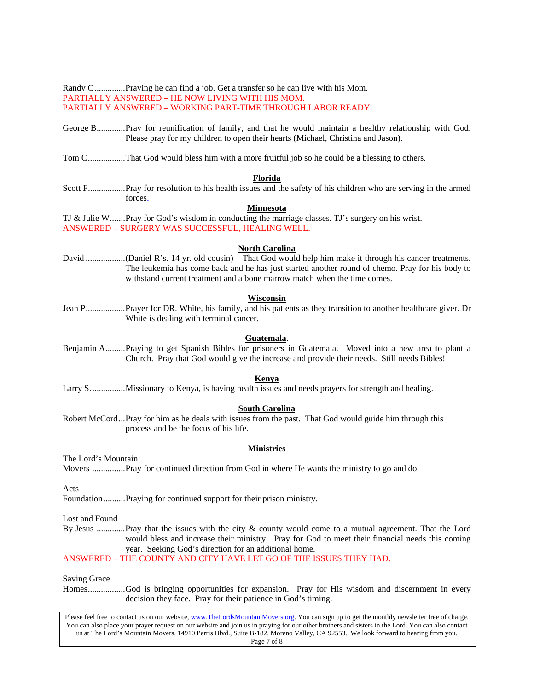Randy C..............Praying he can find a job. Get a transfer so he can live with his Mom. PARTIALLY ANSWERED – HE NOW LIVING WITH HIS MOM. PARTIALLY ANSWERED – WORKING PART-TIME THROUGH LABOR READY.

- George B.............Pray for reunification of family, and that he would maintain a healthy relationship with God. Please pray for my children to open their hearts (Michael, Christina and Jason).
- Tom C.................That God would bless him with a more fruitful job so he could be a blessing to others.

### **Florida**

Scott F.................Pray for resolution to his health issues and the safety of his children who are serving in the armed forces.

#### **Minnesota**

TJ & Julie W.......Pray for God's wisdom in conducting the marriage classes. TJ's surgery on his wrist. ANSWERED – SURGERY WAS SUCCESSFUL, HEALING WELL.

#### **North Carolina**

David ..................(Daniel R's. 14 yr. old cousin) – That God would help him make it through his cancer treatments. The leukemia has come back and he has just started another round of chemo. Pray for his body to withstand current treatment and a bone marrow match when the time comes.

#### **Wisconsin**

Jean P..................Prayer for DR. White, his family, and his patients as they transition to another healthcare giver. Dr White is dealing with terminal cancer.

### **Guatemala**.

Benjamin A.........Praying to get Spanish Bibles for prisoners in Guatemala. Moved into a new area to plant a Church. Pray that God would give the increase and provide their needs. Still needs Bibles!

#### **Kenya**

Larry S................Missionary to Kenya, is having health issues and needs prayers for strength and healing.

#### **South Carolina**

Robert McCord...Pray for him as he deals with issues from the past. That God would guide him through this process and be the focus of his life.

### **Ministries**

The Lord's Mountain

Movers ...............Pray for continued direction from God in where He wants the ministry to go and do.

Acts

Foundation..........Praying for continued support for their prison ministry.

Lost and Found

By Jesus .............Pray that the issues with the city & county would come to a mutual agreement. That the Lord would bless and increase their ministry. Pray for God to meet their financial needs this coming year. Seeking God's direction for an additional home.

#### ANSWERED – THE COUNTY AND CITY HAVE LET GO OF THE ISSUES THEY HAD.

Saving Grace

Homes.................God is bringing opportunities for expansion. Pray for His wisdom and discernment in every decision they face. Pray for their patience in God's timing.

Please feel free to contact us on our website, www.TheLordsMountainMovers.org. You can sign up to get the monthly newsletter free of charge. You can also place your prayer request on our website and join us in praying for our other brothers and sisters in the Lord. You can also contact us at The Lord's Mountain Movers, 14910 Perris Blvd., Suite B-182, Moreno Valley, CA 92553. We look forward to hearing from you. Page 7 of 8